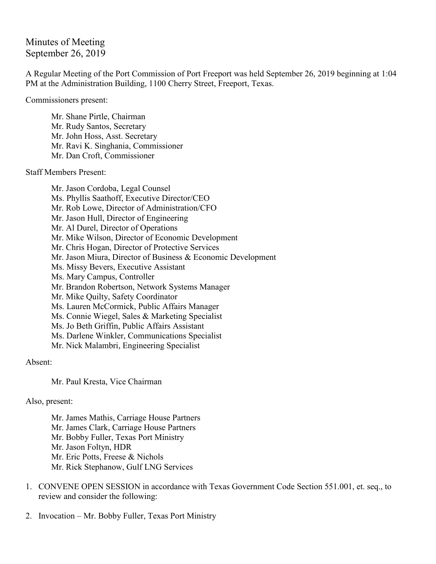Minutes of Meeting September 26, 2019

A Regular Meeting of the Port Commission of Port Freeport was held September 26, 2019 beginning at 1:04 PM at the Administration Building, 1100 Cherry Street, Freeport, Texas.

Commissioners present:

Mr. Shane Pirtle, Chairman Mr. Rudy Santos, Secretary Mr. John Hoss, Asst. Secretary Mr. Ravi K. Singhania, Commissioner Mr. Dan Croft, Commissioner

Staff Members Present:

Mr. Jason Cordoba, Legal Counsel Ms. Phyllis Saathoff, Executive Director/CEO Mr. Rob Lowe, Director of Administration/CFO Mr. Jason Hull, Director of Engineering Mr. Al Durel, Director of Operations Mr. Mike Wilson, Director of Economic Development Mr. Chris Hogan, Director of Protective Services Mr. Jason Miura, Director of Business & Economic Development Ms. Missy Bevers, Executive Assistant Ms. Mary Campus, Controller Mr. Brandon Robertson, Network Systems Manager Mr. Mike Quilty, Safety Coordinator Ms. Lauren McCormick, Public Affairs Manager Ms. Connie Wiegel, Sales & Marketing Specialist Ms. Jo Beth Griffin, Public Affairs Assistant Ms. Darlene Winkler, Communications Specialist Mr. Nick Malambri, Engineering Specialist

Absent:

Mr. Paul Kresta, Vice Chairman

Also, present:

Mr. James Mathis, Carriage House Partners Mr. James Clark, Carriage House Partners Mr. Bobby Fuller, Texas Port Ministry Mr. Jason Foltyn, HDR Mr. Eric Potts, Freese & Nichols Mr. Rick Stephanow, Gulf LNG Services

- 1. CONVENE OPEN SESSION in accordance with Texas Government Code Section 551.001, et. seq., to review and consider the following:
- 2. Invocation Mr. Bobby Fuller, Texas Port Ministry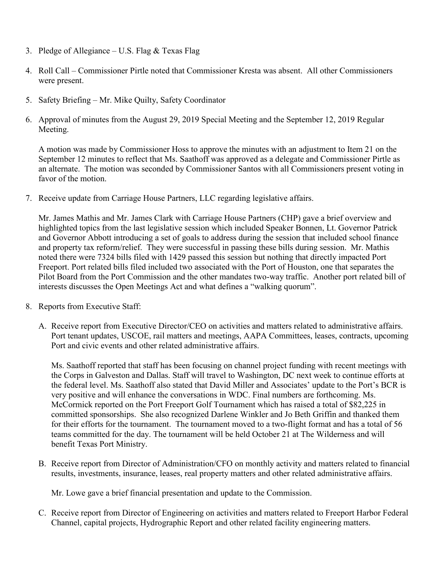- 3. Pledge of Allegiance U.S. Flag  $&$  Texas Flag
- 4. Roll Call Commissioner Pirtle noted that Commissioner Kresta was absent. All other Commissioners were present.
- 5. Safety Briefing Mr. Mike Quilty, Safety Coordinator
- 6. Approval of minutes from the August 29, 2019 Special Meeting and the September 12, 2019 Regular Meeting.

A motion was made by Commissioner Hoss to approve the minutes with an adjustment to Item 21 on the September 12 minutes to reflect that Ms. Saathoff was approved as a delegate and Commissioner Pirtle as an alternate. The motion was seconded by Commissioner Santos with all Commissioners present voting in favor of the motion.

7. Receive update from Carriage House Partners, LLC regarding legislative affairs.

Mr. James Mathis and Mr. James Clark with Carriage House Partners (CHP) gave a brief overview and highlighted topics from the last legislative session which included Speaker Bonnen, Lt. Governor Patrick and Governor Abbott introducing a set of goals to address during the session that included school finance and property tax reform/relief. They were successful in passing these bills during session. Mr. Mathis noted there were 7324 bills filed with 1429 passed this session but nothing that directly impacted Port Freeport. Port related bills filed included two associated with the Port of Houston, one that separates the Pilot Board from the Port Commission and the other mandates two-way traffic. Another port related bill of interests discusses the Open Meetings Act and what defines a "walking quorum".

- 8. Reports from Executive Staff:
	- A. Receive report from Executive Director/CEO on activities and matters related to administrative affairs. Port tenant updates, USCOE, rail matters and meetings, AAPA Committees, leases, contracts, upcoming Port and civic events and other related administrative affairs.

Ms. Saathoff reported that staff has been focusing on channel project funding with recent meetings with the Corps in Galveston and Dallas. Staff will travel to Washington, DC next week to continue efforts at the federal level. Ms. Saathoff also stated that David Miller and Associates' update to the Port's BCR is very positive and will enhance the conversations in WDC. Final numbers are forthcoming. Ms. McCormick reported on the Port Freeport Golf Tournament which has raised a total of \$82,225 in committed sponsorships. She also recognized Darlene Winkler and Jo Beth Griffin and thanked them for their efforts for the tournament. The tournament moved to a two-flight format and has a total of 56 teams committed for the day. The tournament will be held October 21 at The Wilderness and will benefit Texas Port Ministry.

B. Receive report from Director of Administration/CFO on monthly activity and matters related to financial results, investments, insurance, leases, real property matters and other related administrative affairs.

Mr. Lowe gave a brief financial presentation and update to the Commission.

C. Receive report from Director of Engineering on activities and matters related to Freeport Harbor Federal Channel, capital projects, Hydrographic Report and other related facility engineering matters.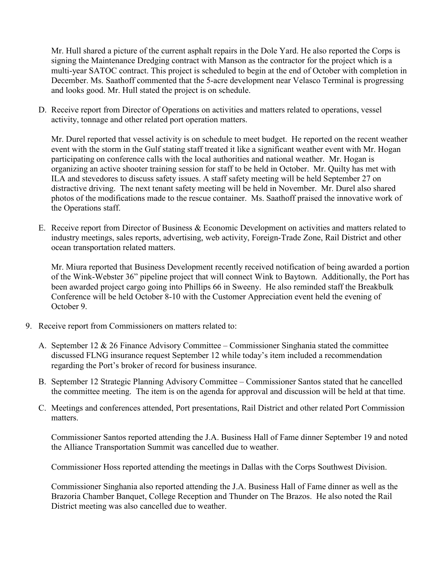Mr. Hull shared a picture of the current asphalt repairs in the Dole Yard. He also reported the Corps is signing the Maintenance Dredging contract with Manson as the contractor for the project which is a multi-year SATOC contract. This project is scheduled to begin at the end of October with completion in December. Ms. Saathoff commented that the 5-acre development near Velasco Terminal is progressing and looks good. Mr. Hull stated the project is on schedule.

D. Receive report from Director of Operations on activities and matters related to operations, vessel activity, tonnage and other related port operation matters.

Mr. Durel reported that vessel activity is on schedule to meet budget. He reported on the recent weather event with the storm in the Gulf stating staff treated it like a significant weather event with Mr. Hogan participating on conference calls with the local authorities and national weather. Mr. Hogan is organizing an active shooter training session for staff to be held in October. Mr. Quilty has met with ILA and stevedores to discuss safety issues. A staff safety meeting will be held September 27 on distractive driving. The next tenant safety meeting will be held in November. Mr. Durel also shared photos of the modifications made to the rescue container. Ms. Saathoff praised the innovative work of the Operations staff.

E. Receive report from Director of Business & Economic Development on activities and matters related to industry meetings, sales reports, advertising, web activity, Foreign-Trade Zone, Rail District and other ocean transportation related matters.

Mr. Miura reported that Business Development recently received notification of being awarded a portion of the Wink-Webster 36" pipeline project that will connect Wink to Baytown. Additionally, the Port has been awarded project cargo going into Phillips 66 in Sweeny. He also reminded staff the Breakbulk Conference will be held October 8-10 with the Customer Appreciation event held the evening of October 9.

- 9. Receive report from Commissioners on matters related to:
	- A. September 12 & 26 Finance Advisory Committee Commissioner Singhania stated the committee discussed FLNG insurance request September 12 while today's item included a recommendation regarding the Port's broker of record for business insurance.
	- B. September 12 Strategic Planning Advisory Committee Commissioner Santos stated that he cancelled the committee meeting. The item is on the agenda for approval and discussion will be held at that time.
	- C. Meetings and conferences attended, Port presentations, Rail District and other related Port Commission matters.

Commissioner Santos reported attending the J.A. Business Hall of Fame dinner September 19 and noted the Alliance Transportation Summit was cancelled due to weather.

Commissioner Hoss reported attending the meetings in Dallas with the Corps Southwest Division.

Commissioner Singhania also reported attending the J.A. Business Hall of Fame dinner as well as the Brazoria Chamber Banquet, College Reception and Thunder on The Brazos. He also noted the Rail District meeting was also cancelled due to weather.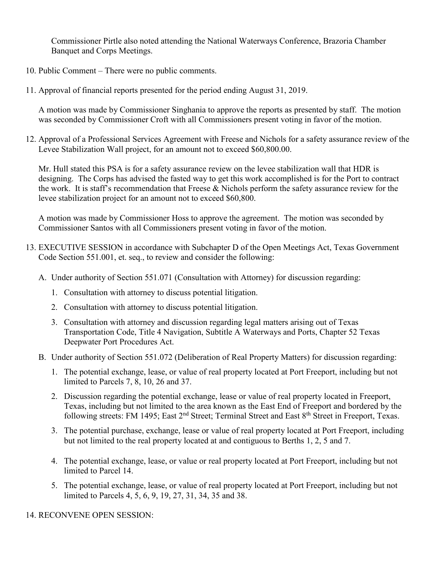Commissioner Pirtle also noted attending the National Waterways Conference, Brazoria Chamber Banquet and Corps Meetings.

- 10. Public Comment There were no public comments.
- 11. Approval of financial reports presented for the period ending August 31, 2019.

A motion was made by Commissioner Singhania to approve the reports as presented by staff. The motion was seconded by Commissioner Croft with all Commissioners present voting in favor of the motion.

12. Approval of a Professional Services Agreement with Freese and Nichols for a safety assurance review of the Levee Stabilization Wall project, for an amount not to exceed \$60,800.00.

Mr. Hull stated this PSA is for a safety assurance review on the levee stabilization wall that HDR is designing. The Corps has advised the fasted way to get this work accomplished is for the Port to contract the work. It is staff's recommendation that Freese & Nichols perform the safety assurance review for the levee stabilization project for an amount not to exceed \$60,800.

A motion was made by Commissioner Hoss to approve the agreement. The motion was seconded by Commissioner Santos with all Commissioners present voting in favor of the motion.

- 13. EXECUTIVE SESSION in accordance with Subchapter D of the Open Meetings Act, Texas Government Code Section 551.001, et. seq., to review and consider the following:
	- A. Under authority of Section 551.071 (Consultation with Attorney) for discussion regarding:
		- 1. Consultation with attorney to discuss potential litigation.
		- 2. Consultation with attorney to discuss potential litigation.
		- 3. Consultation with attorney and discussion regarding legal matters arising out of Texas Transportation Code, Title 4 Navigation, Subtitle A Waterways and Ports, Chapter 52 Texas Deepwater Port Procedures Act.
	- B. Under authority of Section 551.072 (Deliberation of Real Property Matters) for discussion regarding:
		- 1. The potential exchange, lease, or value of real property located at Port Freeport, including but not limited to Parcels 7, 8, 10, 26 and 37.
		- 2. Discussion regarding the potential exchange, lease or value of real property located in Freeport, Texas, including but not limited to the area known as the East End of Freeport and bordered by the following streets: FM 1495; East 2<sup>nd</sup> Street; Terminal Street and East 8<sup>th</sup> Street in Freeport, Texas.
		- 3. The potential purchase, exchange, lease or value of real property located at Port Freeport, including but not limited to the real property located at and contiguous to Berths 1, 2, 5 and 7.
		- 4. The potential exchange, lease, or value or real property located at Port Freeport, including but not limited to Parcel 14.
		- 5. The potential exchange, lease, or value of real property located at Port Freeport, including but not limited to Parcels 4, 5, 6, 9, 19, 27, 31, 34, 35 and 38.

14. RECONVENE OPEN SESSION: